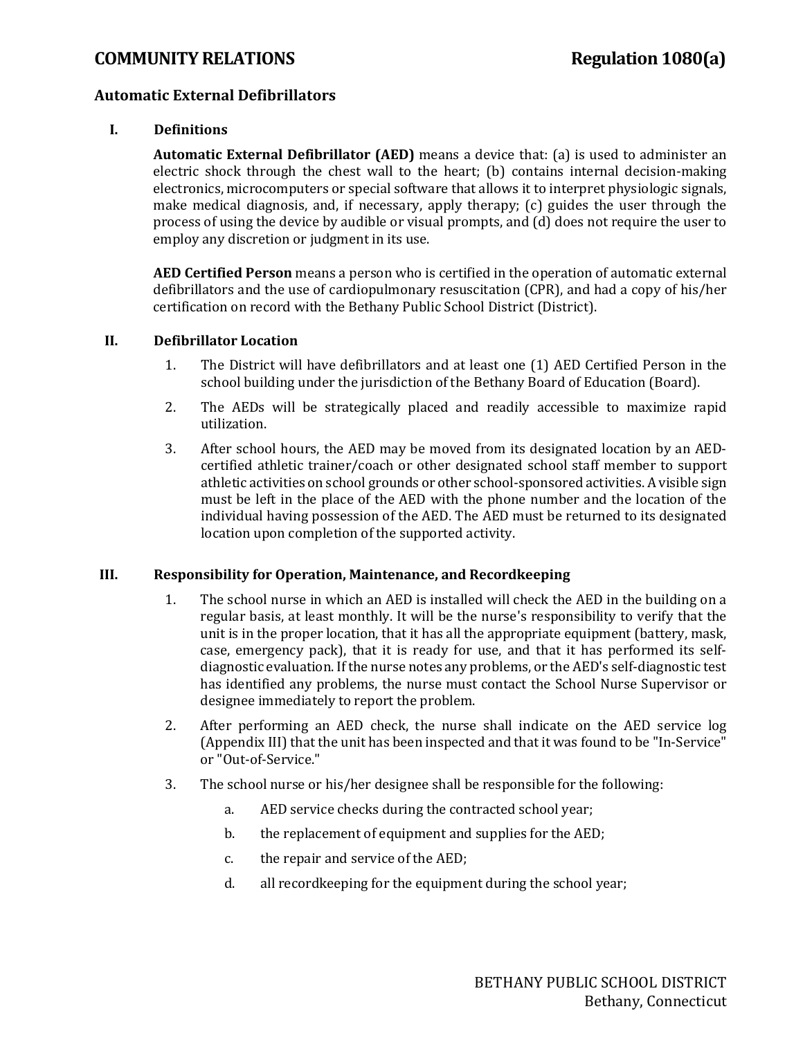### **COMMUNITY RELATIONS Regulation 1080(a)**

### **Automatic External Defibrillators**

### **I. Definitions**

**Automatic External Defibrillator (AED)** means a device that: (a) is used to administer an electric shock through the chest wall to the heart; (b) contains internal decision-making electronics, microcomputers or special software that allows it to interpret physiologic signals, make medical diagnosis, and, if necessary, apply therapy; (c) guides the user through the process of using the device by audible or visual prompts, and (d) does not require the user to employ any discretion or judgment in its use.

**AED Certified Person** means a person who is certified in the operation of automatic external defibrillators and the use of cardiopulmonary resuscitation (CPR), and had a copy of his/her certification on record with the Bethany Public School District (District).

#### **II. Defibrillator Location**

- 1. The District will have defibrillators and at least one (1) AED Certified Person in the school building under the jurisdiction of the Bethany Board of Education (Board).
- 2. The AEDs will be strategically placed and readily accessible to maximize rapid utilization.
- 3. After school hours, the AED may be moved from its designated location by an AEDcertified athletic trainer/coach or other designated school staff member to support athletic activities on school grounds or other school-sponsored activities. A visible sign must be left in the place of the AED with the phone number and the location of the individual having possession of the AED. The AED must be returned to its designated location upon completion of the supported activity.

#### **III. Responsibility for Operation, Maintenance, and Recordkeeping**

- 1. The school nurse in which an AED is installed will check the AED in the building on a regular basis, at least monthly. It will be the nurse's responsibility to verify that the unit is in the proper location, that it has all the appropriate equipment (battery, mask, case, emergency pack), that it is ready for use, and that it has performed its selfdiagnostic evaluation. If the nurse notes any problems, or the AED's self-diagnostic test has identified any problems, the nurse must contact the School Nurse Supervisor or designee immediately to report the problem.
- 2. After performing an AED check, the nurse shall indicate on the AED service log (Appendix III) that the unit has been inspected and that it was found to be "In-Service" or "Out-of-Service."
- 3. The school nurse or his/her designee shall be responsible for the following:
	- a. AED service checks during the contracted school year;
	- b. the replacement of equipment and supplies for the AED;
	- c. the repair and service of the AED;
	- d. all recordkeeping for the equipment during the school year;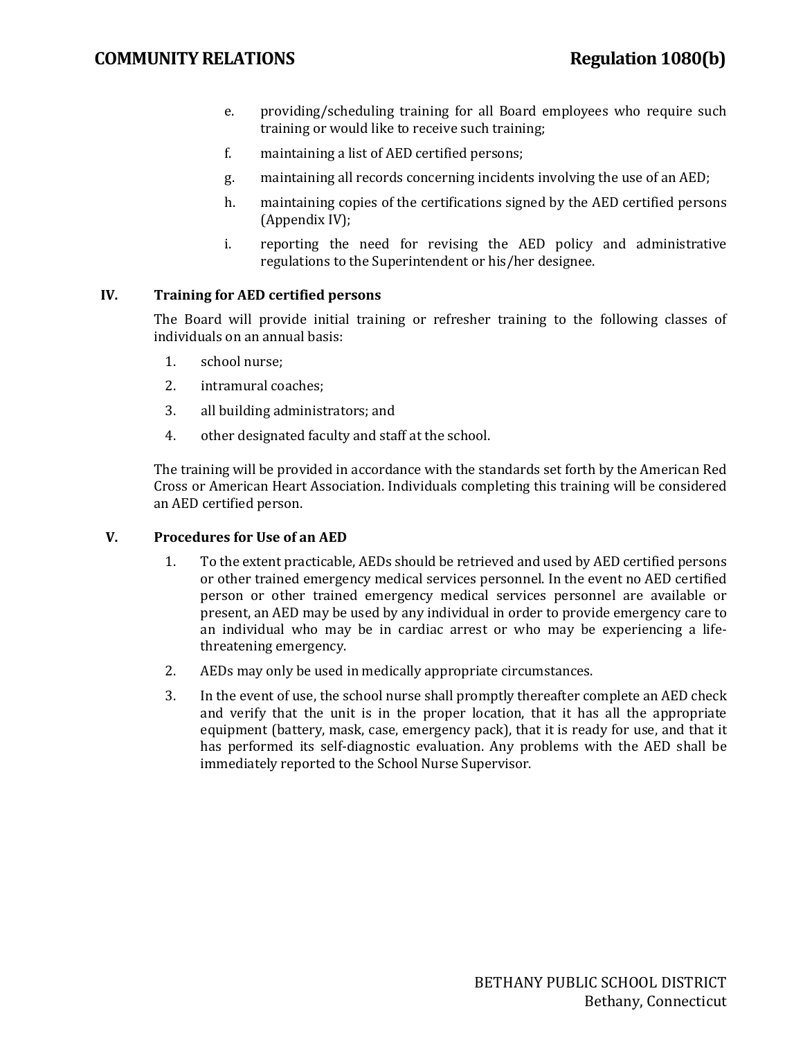- e. providing/scheduling training for all Board employees who require such training or would like to receive such training;
- f. maintaining a list of AED certified persons;
- g. maintaining all records concerning incidents involving the use of an AED;
- h. maintaining copies of the certifications signed by the AED certified persons (Appendix IV);
- i. reporting the need for revising the AED policy and administrative regulations to the Superintendent or his/her designee.

### **IV. Training for AED certified persons**

The Board will provide initial training or refresher training to the following classes of individuals on an annual basis:

- 1. school nurse;
- 2. intramural coaches;
- 3. all building administrators; and
- 4. other designated faculty and staff at the school.

The training will be provided in accordance with the standards set forth by the American Red Cross or American Heart Association. Individuals completing this training will be considered an AED certified person.

### **V. Procedures for Use of an AED**

- 1. To the extent practicable, AEDs should be retrieved and used by AED certified persons or other trained emergency medical services personnel. In the event no AED certified person or other trained emergency medical services personnel are available or present, an AED may be used by any individual in order to provide emergency care to an individual who may be in cardiac arrest or who may be experiencing a lifethreatening emergency.
- 2. AEDs may only be used in medically appropriate circumstances.
- 3. In the event of use, the school nurse shall promptly thereafter complete an AED check and verify that the unit is in the proper location, that it has all the appropriate equipment (battery, mask, case, emergency pack), that it is ready for use, and that it has performed its self-diagnostic evaluation. Any problems with the AED shall be immediately reported to the School Nurse Supervisor.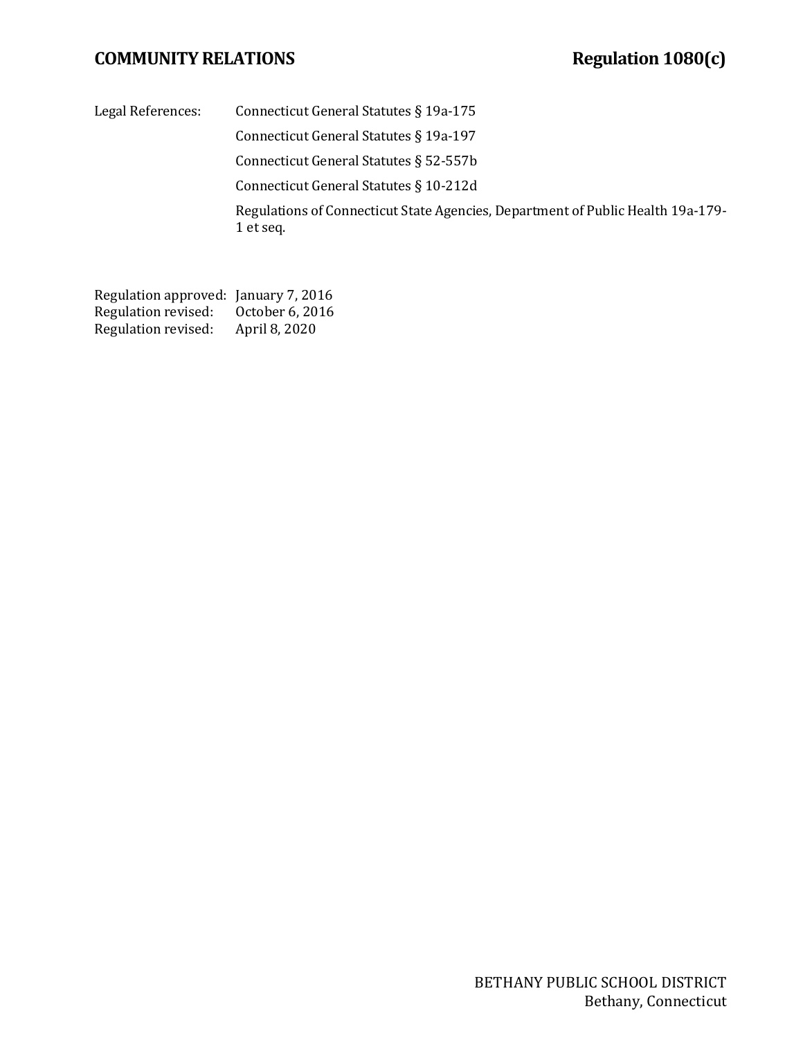## **COMMUNITY RELATIONS Regulation 1080(c)**

Legal References: Connecticut General Statutes § 19a-175

Connecticut General Statutes § 19a-197

Connecticut General Statutes § 52-557b

Connecticut General Statutes § 10-212d

Regulations of Connecticut State Agencies, Department of Public Health 19a-179- 1 et seq.

Regulation approved: January 7, 2016<br>Regulation revised: October 6, 2016 Regulation revised: October 6, 20<br>Regulation revised: April 8, 2020 Regulation revised: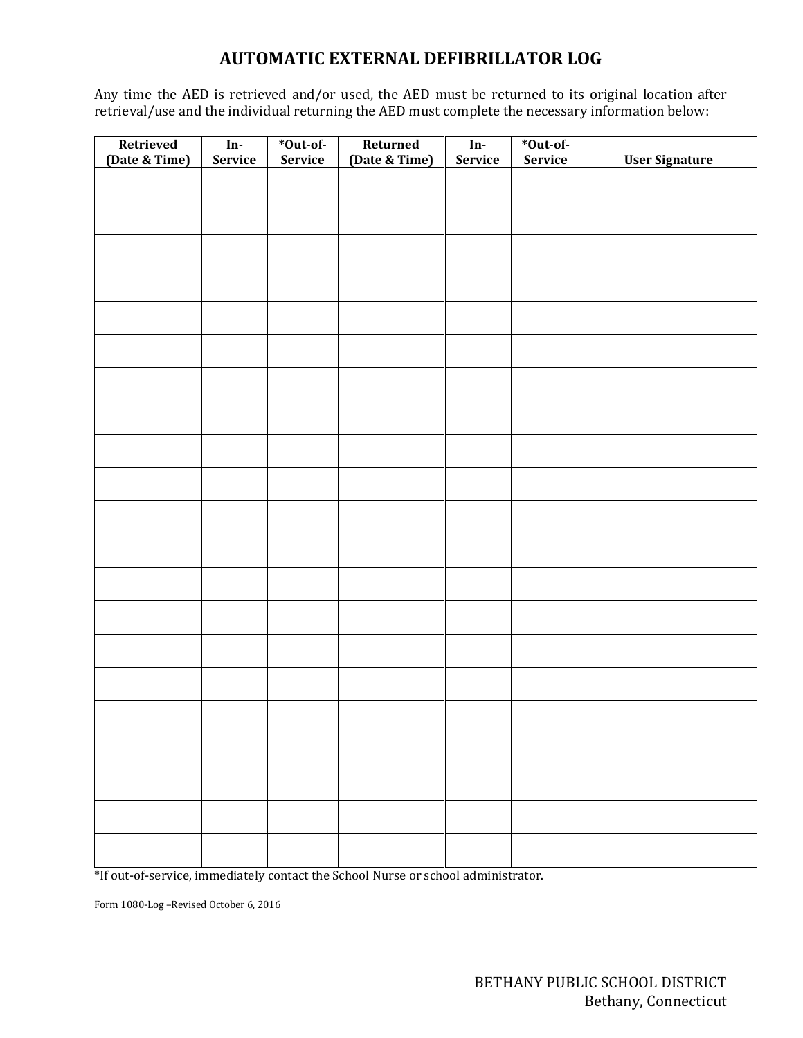# **AUTOMATIC EXTERNAL DEFIBRILLATOR LOG**

Any time the AED is retrieved and/or used, the AED must be returned to its original location after retrieval/use and the individual returning the AED must complete the necessary information below:

| Retrieved<br>(Date & Time) | $\mathbf{In}\text{-}$<br>Service | *Out-of-<br>Service | Returned<br>(Date & Time) | In-<br><b>Service</b> | *Out-of-<br><b>Service</b> | <b>User Signature</b> |
|----------------------------|----------------------------------|---------------------|---------------------------|-----------------------|----------------------------|-----------------------|
|                            |                                  |                     |                           |                       |                            |                       |
|                            |                                  |                     |                           |                       |                            |                       |
|                            |                                  |                     |                           |                       |                            |                       |
|                            |                                  |                     |                           |                       |                            |                       |
|                            |                                  |                     |                           |                       |                            |                       |
|                            |                                  |                     |                           |                       |                            |                       |
|                            |                                  |                     |                           |                       |                            |                       |
|                            |                                  |                     |                           |                       |                            |                       |
|                            |                                  |                     |                           |                       |                            |                       |
|                            |                                  |                     |                           |                       |                            |                       |
|                            |                                  |                     |                           |                       |                            |                       |
|                            |                                  |                     |                           |                       |                            |                       |
|                            |                                  |                     |                           |                       |                            |                       |
|                            |                                  |                     |                           |                       |                            |                       |
|                            |                                  |                     |                           |                       |                            |                       |
|                            |                                  |                     |                           |                       |                            |                       |
|                            |                                  |                     |                           |                       |                            |                       |
|                            |                                  |                     |                           |                       |                            |                       |
|                            |                                  |                     |                           |                       |                            |                       |
|                            |                                  |                     |                           |                       |                            |                       |
|                            |                                  |                     |                           |                       |                            |                       |

\*If out-of-service, immediately contact the School Nurse or school administrator.

Form 1080-Log –Revised October 6, 2016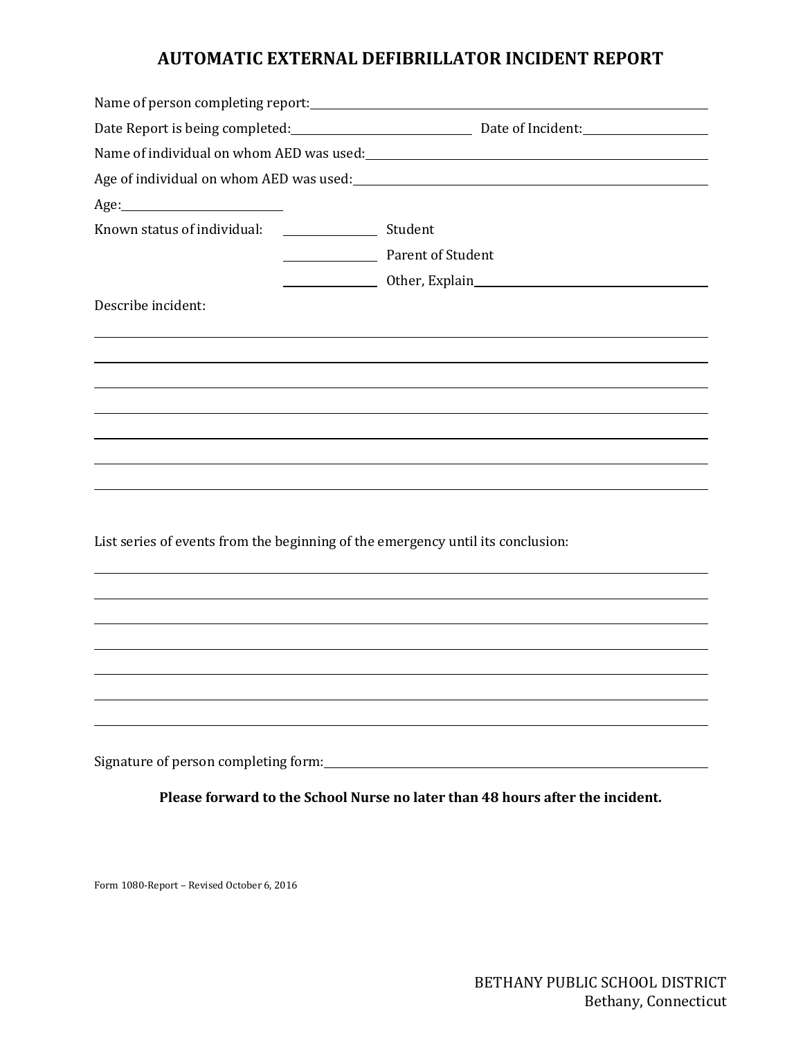## **AUTOMATIC EXTERNAL DEFIBRILLATOR INCIDENT REPORT**

|                                                                                                             | Date Report is being completed:<br><u>Date of Incident:</u>                          |  |  |
|-------------------------------------------------------------------------------------------------------------|--------------------------------------------------------------------------------------|--|--|
|                                                                                                             | Name of individual on whom AED was used:<br>Name of individual on whom AED was used: |  |  |
| Age of individual on whom AED was used:<br><u>equal</u> the manufacture of individual on whom AED was used: |                                                                                      |  |  |
|                                                                                                             |                                                                                      |  |  |
|                                                                                                             |                                                                                      |  |  |
|                                                                                                             | Parent of Student                                                                    |  |  |
|                                                                                                             |                                                                                      |  |  |
| Describe incident:                                                                                          |                                                                                      |  |  |
|                                                                                                             |                                                                                      |  |  |
|                                                                                                             |                                                                                      |  |  |
|                                                                                                             |                                                                                      |  |  |
|                                                                                                             |                                                                                      |  |  |
|                                                                                                             |                                                                                      |  |  |
|                                                                                                             |                                                                                      |  |  |
|                                                                                                             |                                                                                      |  |  |
|                                                                                                             |                                                                                      |  |  |
| List series of events from the beginning of the emergency until its conclusion:                             |                                                                                      |  |  |
|                                                                                                             |                                                                                      |  |  |
|                                                                                                             |                                                                                      |  |  |
|                                                                                                             |                                                                                      |  |  |
|                                                                                                             |                                                                                      |  |  |
|                                                                                                             |                                                                                      |  |  |

Signature of person completing form:

**Please forward to the School Nurse no later than 48 hours after the incident.**

Form 1080-Report – Revised October 6, 2016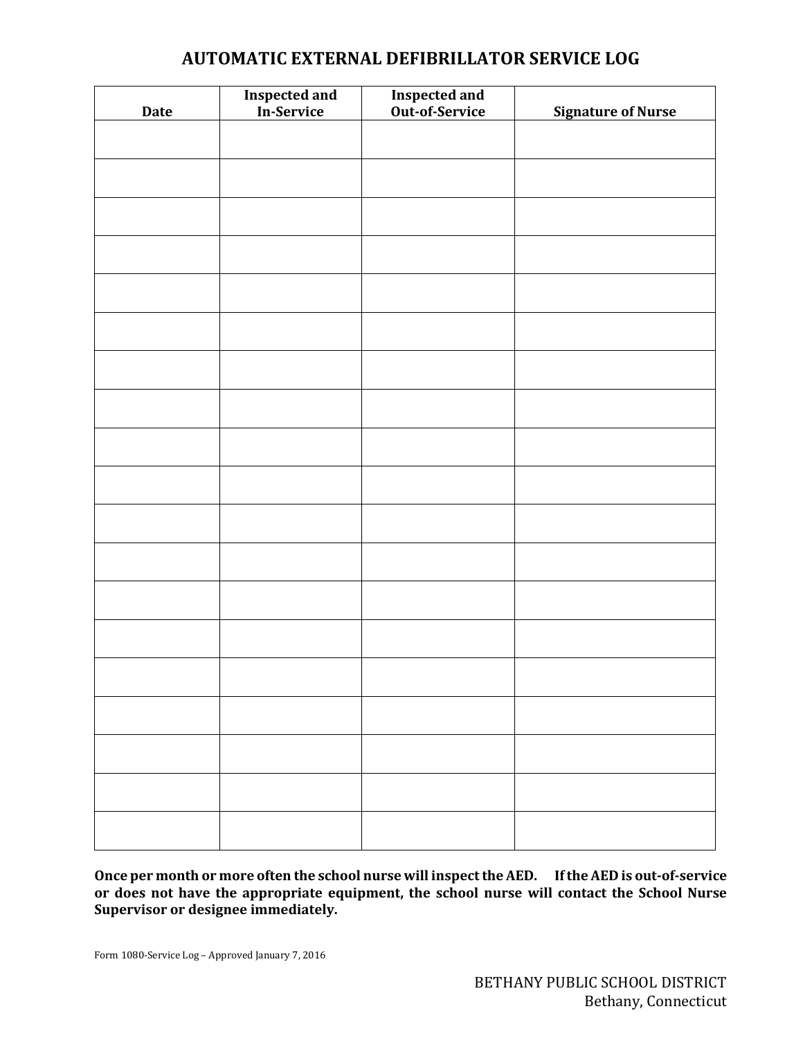# **AUTOMATIC EXTERNAL DEFIBRILLATOR SERVICE LOG**

| <b>Date</b> | <b>Inspected and</b><br>In-Service | <b>Inspected and<br/>Out-of-Service</b> | <b>Signature of Nurse</b> |
|-------------|------------------------------------|-----------------------------------------|---------------------------|
|             |                                    |                                         |                           |
|             |                                    |                                         |                           |
|             |                                    |                                         |                           |
|             |                                    |                                         |                           |
|             |                                    |                                         |                           |
|             |                                    |                                         |                           |
|             |                                    |                                         |                           |
|             |                                    |                                         |                           |
|             |                                    |                                         |                           |
|             |                                    |                                         |                           |
|             |                                    |                                         |                           |
|             |                                    |                                         |                           |
|             |                                    |                                         |                           |
|             |                                    |                                         |                           |
|             |                                    |                                         |                           |
|             |                                    |                                         |                           |
|             |                                    |                                         |                           |
|             |                                    |                                         |                           |
|             |                                    |                                         |                           |
|             |                                    |                                         |                           |

**Once per month or more often the school nurse will inspect the AED. If the AED is out-of-service or does not have the appropriate equipment, the school nurse will contact the School Nurse Supervisor or designee immediately.**